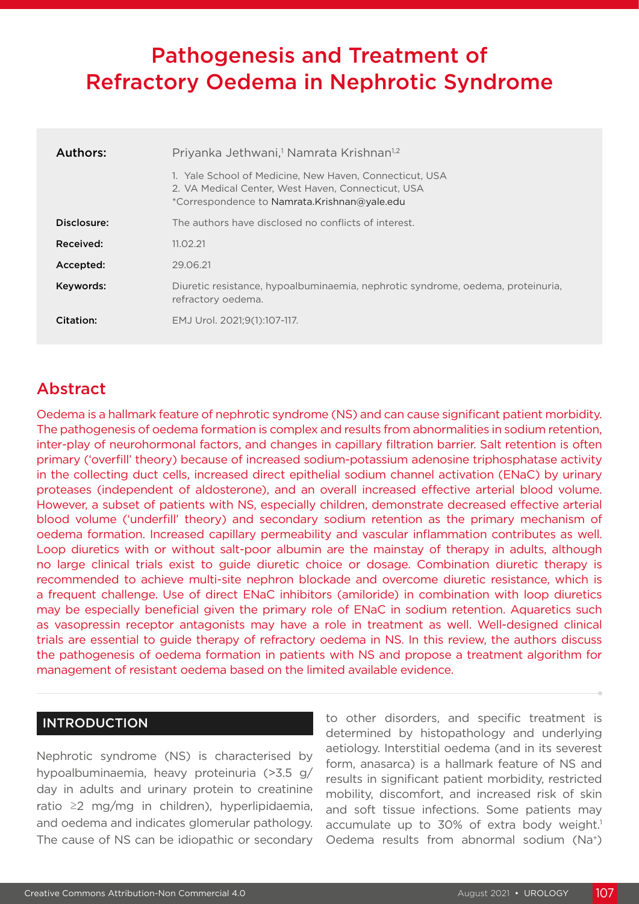# Pathogenesis and Treatment of Refractory Oedema in Nephrotic Syndrome

| Authors:    | Priyanka Jethwani, <sup>1</sup> Namrata Krishnan <sup>1,2</sup>                                                                                               |
|-------------|---------------------------------------------------------------------------------------------------------------------------------------------------------------|
|             | 1. Yale School of Medicine, New Haven, Connecticut, USA<br>2. VA Medical Center. West Haven. Connecticut. USA<br>*Correspondence to Namrata.Krishnan@yale.edu |
| Disclosure: | The authors have disclosed no conflicts of interest.                                                                                                          |
| Received:   | 11.02.21                                                                                                                                                      |
| Accepted:   | 29.06.21                                                                                                                                                      |
| Keywords:   | Diuretic resistance, hypoalbuminaemia, nephrotic syndrome, oedema, proteinuria,<br>refractory oedema.                                                         |
| Citation:   | EMJ Urol. 2021:9(1):107-117.                                                                                                                                  |

# Abstract

Oedema is a hallmark feature of nephrotic syndrome (NS) and can cause significant patient morbidity. The pathogenesis of oedema formation is complex and results from abnormalities in sodium retention, inter-play of neurohormonal factors, and changes in capillary filtration barrier. Salt retention is often primary ('overfill' theory) because of increased sodium-potassium adenosine triphosphatase activity in the collecting duct cells, increased direct epithelial sodium channel activation (ENaC) by urinary proteases (independent of aldosterone), and an overall increased effective arterial blood volume. However, a subset of patients with NS, especially children, demonstrate decreased effective arterial blood volume ('underfill' theory) and secondary sodium retention as the primary mechanism of oedema formation. Increased capillary permeability and vascular inflammation contributes as well. Loop diuretics with or without salt-poor albumin are the mainstay of therapy in adults, although no large clinical trials exist to guide diuretic choice or dosage. Combination diuretic therapy is recommended to achieve multi-site nephron blockade and overcome diuretic resistance, which is a frequent challenge. Use of direct ENaC inhibitors (amiloride) in combination with loop diuretics may be especially beneficial given the primary role of ENaC in sodium retention. Aquaretics such as vasopressin receptor antagonists may have a role in treatment as well. Well-designed clinical trials are essential to guide therapy of refractory oedema in NS. In this review, the authors discuss the pathogenesis of oedema formation in patients with NS and propose a treatment algorithm for management of resistant oedema based on the limited available evidence.

## INTRODUCTION

Nephrotic syndrome (NS) is characterised by hypoalbuminaemia, heavy proteinuria (>3.5 g/ day in adults and urinary protein to creatinine ratio ≥2 mg/mg in children), hyperlipidaemia, and oedema and indicates glomerular pathology. The cause of NS can be idiopathic or secondary to other disorders, and specific treatment is determined by histopathology and underlying aetiology. Interstitial oedema (and in its severest form, anasarca) is a hallmark feature of NS and results in significant patient morbidity, restricted mobility, discomfort, and increased risk of skin and soft tissue infections. Some patients may accumulate up to 30% of extra body weight.<sup>1</sup> Oedema results from abnormal sodium (Na+)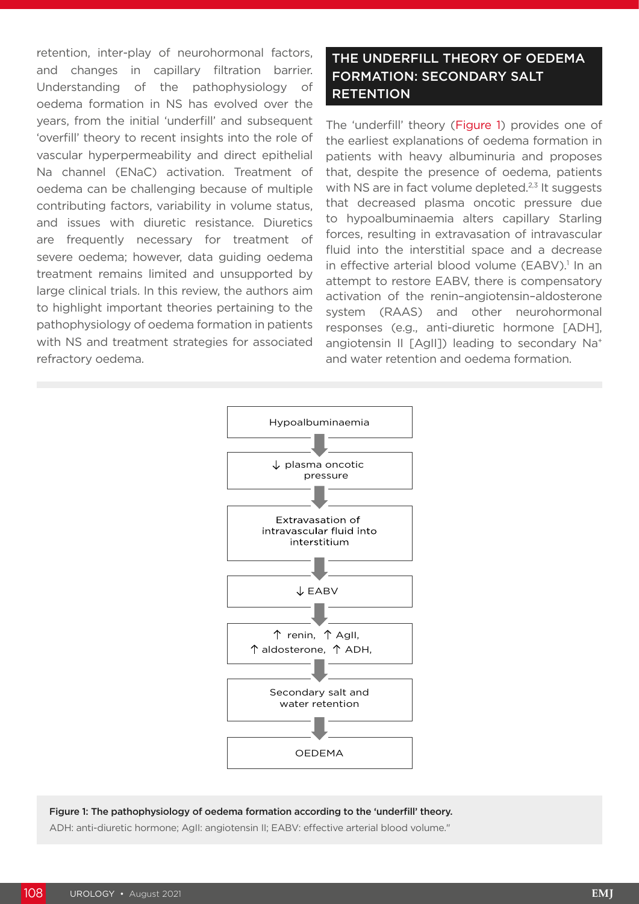retention, inter-play of neurohormonal factors, and changes in capillary filtration barrier. Understanding of the pathophysiology of oedema formation in NS has evolved over the years, from the initial 'underfill' and subsequent 'overfill' theory to recent insights into the role of vascular hyperpermeability and direct epithelial Na channel (ENaC) activation. Treatment of oedema can be challenging because of multiple contributing factors, variability in volume status, and issues with diuretic resistance. Diuretics are frequently necessary for treatment of severe oedema; however, data guiding oedema treatment remains limited and unsupported by large clinical trials. In this review, the authors aim to highlight important theories pertaining to the pathophysiology of oedema formation in patients with NS and treatment strategies for associated refractory oedema.

## THE UNDERFILL THEORY OF OEDEMA FORMATION: SECONDARY SALT **RETENTION**

The 'underfill' theory (Figure 1) provides one of the earliest explanations of oedema formation in patients with heavy albuminuria and proposes that, despite the presence of oedema, patients with NS are in fact volume depleted.<sup>2,3</sup> It suggests that decreased plasma oncotic pressure due to hypoalbuminaemia alters capillary Starling forces, resulting in extravasation of intravascular fluid into the interstitial space and a decrease in effective arterial blood volume (EABV).<sup>1</sup> In an attempt to restore EABV, there is compensatory activation of the renin–angiotensin–aldosterone system (RAAS) and other neurohormonal responses (e.g., anti-diuretic hormone [ADH], angiotensin II [AgII]) leading to secondary Na<sup>+</sup> and water retention and oedema formation.



### Figure 1: The pathophysiology of oedema formation according to the 'underfill' theory.

ADH: anti-diuretic hormone; AgII: angiotensin II; EABV: effective arterial blood volume."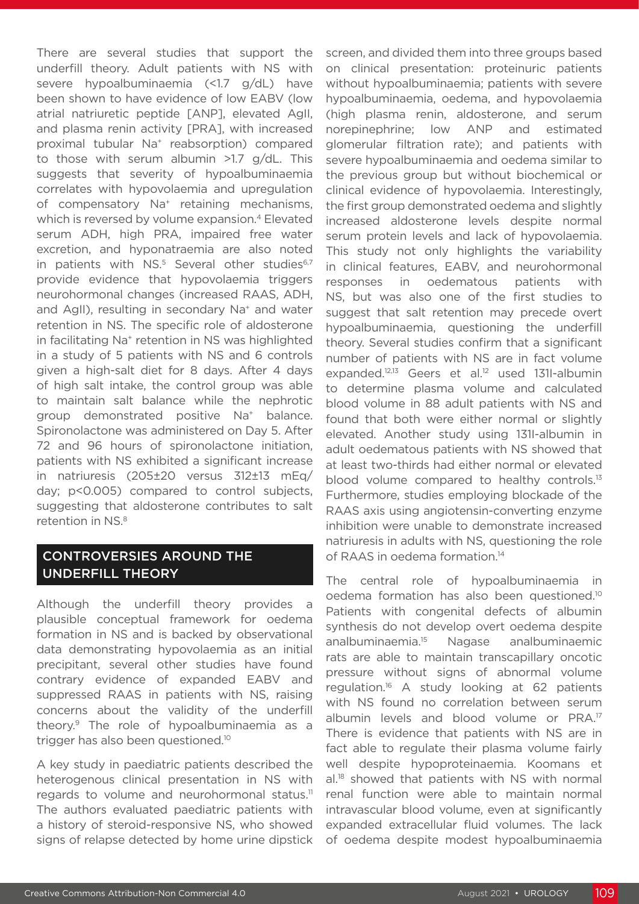There are several studies that support the underfill theory. Adult patients with NS with severe hypoalbuminaemia (<1.7 g/dL) have been shown to have evidence of low EABV (low atrial natriuretic peptide [ANP], elevated AgII, and plasma renin activity [PRA], with increased proximal tubular Na<sup>+</sup> reabsorption) compared to those with serum albumin >1.7 g/dL. This suggests that severity of hypoalbuminaemia correlates with hypovolaemia and upregulation of compensatory Na<sup>+</sup> retaining mechanisms, which is reversed by volume expansion.<sup>4</sup> Elevated serum ADH, high PRA, impaired free water excretion, and hyponatraemia are also noted in patients with NS.<sup>5</sup> Several other studies<sup>6,7</sup> provide evidence that hypovolaemia triggers neurohormonal changes (increased RAAS, ADH, and AgII), resulting in secondary Na<sup>+</sup> and water retention in NS. The specific role of aldosterone in facilitating Na<sup>+</sup> retention in NS was highlighted in a study of 5 patients with NS and 6 controls given a high-salt diet for 8 days. After 4 days of high salt intake, the control group was able to maintain salt balance while the nephrotic group demonstrated positive Na<sup>+</sup> balance. Spironolactone was administered on Day 5. After 72 and 96 hours of spironolactone initiation, patients with NS exhibited a significant increase in natriuresis (205±20 versus 312±13 mEq/ day; p<0.005) compared to control subjects, suggesting that aldosterone contributes to salt retention in NS.8

## CONTROVERSIES AROUND THE UNDERFILL THEORY

Although the underfill theory provides a plausible conceptual framework for oedema formation in NS and is backed by observational data demonstrating hypovolaemia as an initial precipitant, several other studies have found contrary evidence of expanded EABV and suppressed RAAS in patients with NS, raising concerns about the validity of the underfill theory.9 The role of hypoalbuminaemia as a trigger has also been questioned.10

A key study in paediatric patients described the heterogenous clinical presentation in NS with regards to volume and neurohormonal status.<sup>11</sup> The authors evaluated paediatric patients with a history of steroid-responsive NS, who showed signs of relapse detected by home urine dipstick

screen, and divided them into three groups based on clinical presentation: proteinuric patients without hypoalbuminaemia; patients with severe hypoalbuminaemia, oedema, and hypovolaemia (high plasma renin, aldosterone, and serum norepinephrine; low ANP and estimated glomerular filtration rate); and patients with severe hypoalbuminaemia and oedema similar to the previous group but without biochemical or clinical evidence of hypovolaemia. Interestingly, the first group demonstrated oedema and slightly increased aldosterone levels despite normal serum protein levels and lack of hypovolaemia. This study not only highlights the variability in clinical features, EABV, and neurohormonal responses in oedematous patients with NS, but was also one of the first studies to suggest that salt retention may precede overt hypoalbuminaemia, questioning the underfill theory. Several studies confirm that a significant number of patients with NS are in fact volume expanded.12,13 Geers et al.12 used 131I-albumin to determine plasma volume and calculated blood volume in 88 adult patients with NS and found that both were either normal or slightly elevated. Another study using 131I-albumin in adult oedematous patients with NS showed that at least two-thirds had either normal or elevated blood volume compared to healthy controls.<sup>13</sup> Furthermore, studies employing blockade of the RAAS axis using angiotensin-converting enzyme inhibition were unable to demonstrate increased natriuresis in adults with NS, questioning the role of RAAS in oedema formation.<sup>14</sup>

The central role of hypoalbuminaemia in oedema formation has also been questioned.10 Patients with congenital defects of albumin synthesis do not develop overt oedema despite analbuminaemia.15 Nagase analbuminaemic rats are able to maintain transcapillary oncotic pressure without signs of abnormal volume regulation.16 A study looking at 62 patients with NS found no correlation between serum albumin levels and blood volume or PRA.17 There is evidence that patients with NS are in fact able to regulate their plasma volume fairly well despite hypoproteinaemia. Koomans et al.<sup>18</sup> showed that patients with NS with normal renal function were able to maintain normal intravascular blood volume, even at significantly expanded extracellular fluid volumes. The lack of oedema despite modest hypoalbuminaemia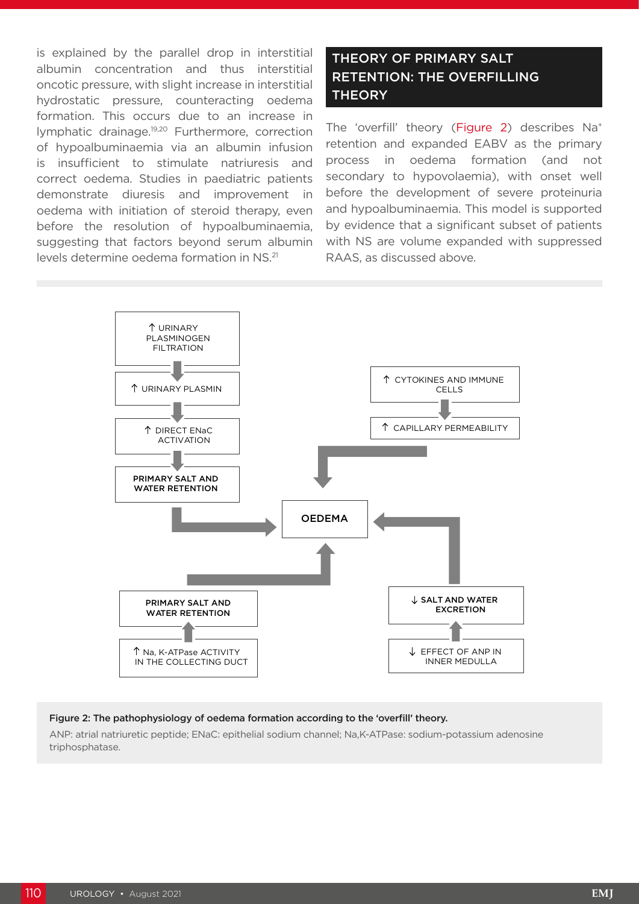is explained by the parallel drop in interstitial albumin concentration and thus interstitial oncotic pressure, with slight increase in interstitial hydrostatic pressure, counteracting oedema formation. This occurs due to an increase in lymphatic drainage.19,20 Furthermore, correction of hypoalbuminaemia via an albumin infusion is insufficient to stimulate natriuresis and correct oedema. Studies in paediatric patients demonstrate diuresis and improvement in oedema with initiation of steroid therapy, even before the resolution of hypoalbuminaemia, suggesting that factors beyond serum albumin levels determine oedema formation in NS.21

# THEORY OF PRIMARY SALT RETENTION: THE OVERFILLING **THEORY**

The 'overfill' theory (Figure 2) describes Na+ retention and expanded EABV as the primary process in oedema formation (and not secondary to hypovolaemia), with onset well before the development of severe proteinuria and hypoalbuminaemia. This model is supported by evidence that a significant subset of patients with NS are volume expanded with suppressed RAAS, as discussed above.



#### Figure 2: The pathophysiology of oedema formation according to the 'overfill' theory.

ANP: atrial natriuretic peptide; ENaC: epithelial sodium channel; Na,K-ATPase: sodium-potassium adenosine triphosphatase.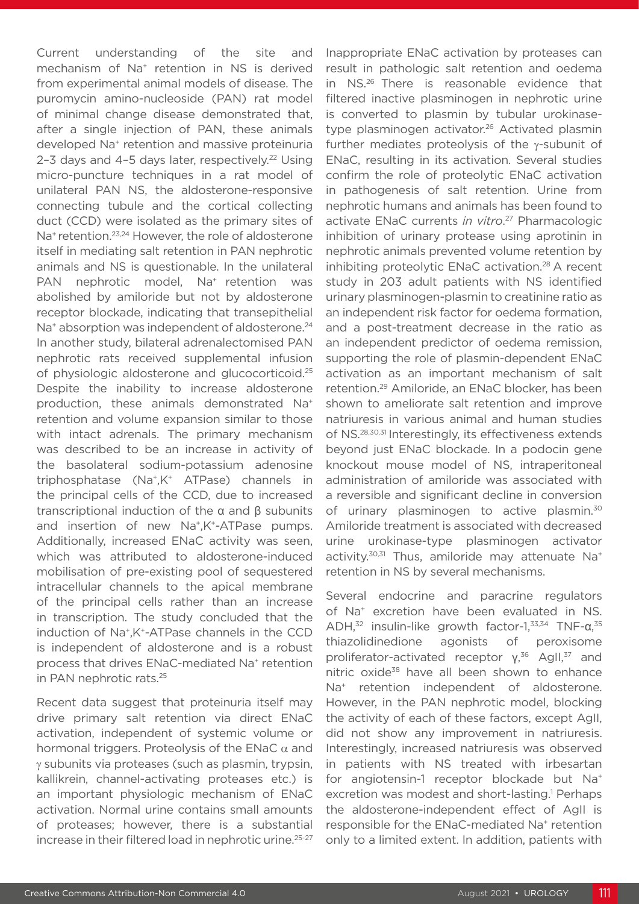Current understanding of the site and mechanism of Na+ retention in NS is derived from experimental animal models of disease. The puromycin amino-nucleoside (PAN) rat model of minimal change disease demonstrated that, after a single injection of PAN, these animals developed Na+ retention and massive proteinuria 2-3 days and 4-5 days later, respectively.<sup>22</sup> Using micro-puncture techniques in a rat model of unilateral PAN NS, the aldosterone-responsive connecting tubule and the cortical collecting duct (CCD) were isolated as the primary sites of Na<sup>+</sup> retention.<sup>23,24</sup> However, the role of aldosterone itself in mediating salt retention in PAN nephrotic animals and NS is questionable. In the unilateral PAN nephrotic model. Na<sup>+</sup> retention was abolished by amiloride but not by aldosterone receptor blockade, indicating that transepithelial Na<sup>+</sup> absorption was independent of aldosterone.<sup>24</sup> In another study, bilateral adrenalectomised PAN nephrotic rats received supplemental infusion of physiologic aldosterone and glucocorticoid.25 Despite the inability to increase aldosterone production, these animals demonstrated Na+ retention and volume expansion similar to those with intact adrenals. The primary mechanism was described to be an increase in activity of the basolateral sodium-potassium adenosine triphosphatase (Na+,K+ ATPase) channels in the principal cells of the CCD, due to increased transcriptional induction of the α and β subunits and insertion of new Na<sup>+</sup>,K<sup>+</sup>-ATPase pumps. Additionally, increased ENaC activity was seen, which was attributed to aldosterone-induced mobilisation of pre-existing pool of sequestered intracellular channels to the apical membrane of the principal cells rather than an increase in transcription. The study concluded that the induction of Na+,K+-ATPase channels in the CCD is independent of aldosterone and is a robust process that drives ENaC-mediated Na<sup>+</sup> retention in PAN nephrotic rats.<sup>25</sup>

Recent data suggest that proteinuria itself may drive primary salt retention via direct ENaC activation, independent of systemic volume or hormonal triggers. Proteolysis of the ENaC  $\alpha$  and γ subunits via proteases (such as plasmin, trypsin, kallikrein, channel-activating proteases etc.) is an important physiologic mechanism of ENaC activation. Normal urine contains small amounts of proteases; however, there is a substantial increase in their filtered load in nephrotic urine.25-27

Inappropriate ENaC activation by proteases can result in pathologic salt retention and oedema in NS.26 There is reasonable evidence that filtered inactive plasminogen in nephrotic urine is converted to plasmin by tubular urokinasetype plasminogen activator.<sup>26</sup> Activated plasmin further mediates proteolysis of the γ-subunit of ENaC, resulting in its activation. Several studies confirm the role of proteolytic ENaC activation in pathogenesis of salt retention. Urine from nephrotic humans and animals has been found to activate ENaC currents *in vitro*. 27 Pharmacologic inhibition of urinary protease using aprotinin in nephrotic animals prevented volume retention by inhibiting proteolytic ENaC activation.<sup>28</sup> A recent study in 203 adult patients with NS identified urinary plasminogen-plasmin to creatinine ratio as an independent risk factor for oedema formation, and a post-treatment decrease in the ratio as an independent predictor of oedema remission, supporting the role of plasmin-dependent ENaC activation as an important mechanism of salt retention.29 Amiloride, an ENaC blocker, has been shown to ameliorate salt retention and improve natriuresis in various animal and human studies of NS.28,30,31 Interestingly, its effectiveness extends beyond just ENaC blockade. In a podocin gene knockout mouse model of NS, intraperitoneal administration of amiloride was associated with a reversible and significant decline in conversion of urinary plasminogen to active plasmin.<sup>30</sup> Amiloride treatment is associated with decreased urine urokinase-type plasminogen activator activity.<sup>30,31</sup> Thus, amiloride may attenuate Na<sup>+</sup> retention in NS by several mechanisms.

Several endocrine and paracrine regulators of Na+ excretion have been evaluated in NS. ADH, $32$  insulin-like growth factor-1, $33,34$  TNF-α, $35$ thiazolidinedione agonists of peroxisome proliferator-activated receptor γ,<sup>36</sup> AgII,<sup>37</sup> and nitric oxide<sup>38</sup> have all been shown to enhance Na<sup>+</sup> retention independent of aldosterone. However, in the PAN nephrotic model, blocking the activity of each of these factors, except AgII, did not show any improvement in natriuresis. Interestingly, increased natriuresis was observed in patients with NS treated with irbesartan for angiotensin-1 receptor blockade but Na+ excretion was modest and short-lasting.<sup>1</sup> Perhaps the aldosterone-independent effect of AgII is responsible for the ENaC-mediated Na+ retention only to a limited extent. In addition, patients with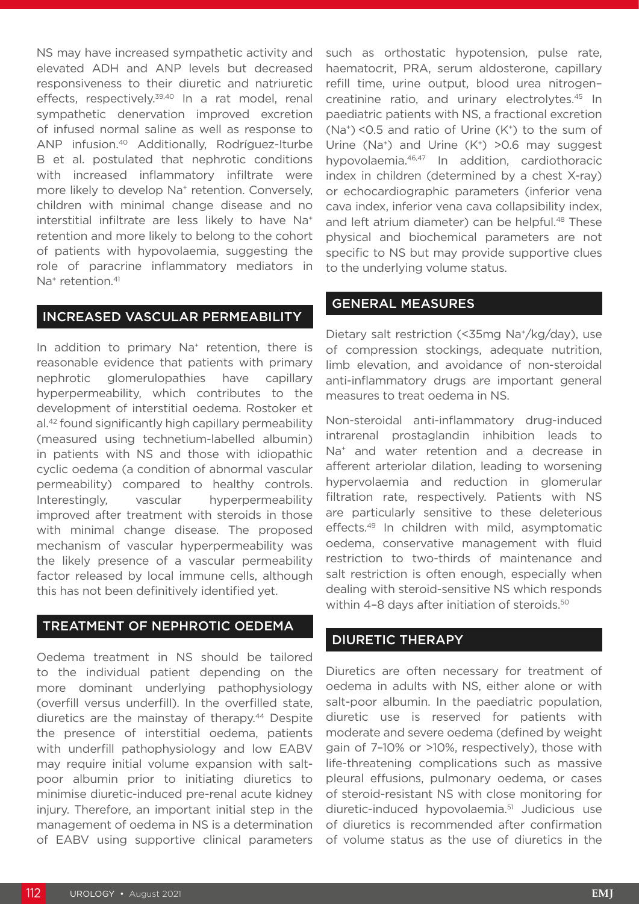NS may have increased sympathetic activity and elevated ADH and ANP levels but decreased responsiveness to their diuretic and natriuretic effects, respectively.<sup>39,40</sup> In a rat model, renal sympathetic denervation improved excretion of infused normal saline as well as response to ANP infusion.40 Additionally, Rodríguez-Iturbe B et al. postulated that nephrotic conditions with increased inflammatory infiltrate were more likely to develop Na<sup>+</sup> retention. Conversely, children with minimal change disease and no interstitial infiltrate are less likely to have Na+ retention and more likely to belong to the cohort of patients with hypovolaemia, suggesting the role of paracrine inflammatory mediators in Na<sup>+</sup> retention.<sup>41</sup>

### INCREASED VASCULAR PERMEABILITY

In addition to primary Na<sup>+</sup> retention, there is reasonable evidence that patients with primary nephrotic glomerulopathies have capillary hyperpermeability, which contributes to the development of interstitial oedema. Rostoker et al.42 found significantly high capillary permeability (measured using technetium-labelled albumin) in patients with NS and those with idiopathic cyclic oedema (a condition of abnormal vascular permeability) compared to healthy controls. Interestingly, vascular hyperpermeability improved after treatment with steroids in those with minimal change disease. The proposed mechanism of vascular hyperpermeability was the likely presence of a vascular permeability factor released by local immune cells, although this has not been definitively identified yet.

#### TREATMENT OF NEPHROTIC OEDEMA

Oedema treatment in NS should be tailored to the individual patient depending on the more dominant underlying pathophysiology (overfill versus underfill). In the overfilled state, diuretics are the mainstay of therapy.<sup>44</sup> Despite the presence of interstitial oedema, patients with underfill pathophysiology and low EABV may require initial volume expansion with saltpoor albumin prior to initiating diuretics to minimise diuretic-induced pre-renal acute kidney injury. Therefore, an important initial step in the management of oedema in NS is a determination of EABV using supportive clinical parameters such as orthostatic hypotension, pulse rate, haematocrit, PRA, serum aldosterone, capillary refill time, urine output, blood urea nitrogen– creatinine ratio, and urinary electrolytes.<sup>45</sup> In paediatric patients with NS, a fractional excretion  $(Na<sup>+</sup>)$  <0.5 and ratio of Urine  $(K<sup>+</sup>)$  to the sum of Urine (Na<sup>+</sup>) and Urine (K<sup>+</sup>) > 0.6 may suggest hypovolaemia.46,47 In addition, cardiothoracic index in children (determined by a chest X-ray) or echocardiographic parameters (inferior vena cava index, inferior vena cava collapsibility index, and left atrium diameter) can be helpful.<sup>48</sup> These physical and biochemical parameters are not specific to NS but may provide supportive clues to the underlying volume status.

#### GENERAL MEASURES

Dietary salt restriction (<35mg Na+/kg/day), use of compression stockings, adequate nutrition, limb elevation, and avoidance of non-steroidal anti-inflammatory drugs are important general measures to treat oedema in NS.

Non-steroidal anti-inflammatory drug-induced intrarenal prostaglandin inhibition leads to Na<sup>+</sup> and water retention and a decrease in afferent arteriolar dilation, leading to worsening hypervolaemia and reduction in glomerular filtration rate, respectively. Patients with NS are particularly sensitive to these deleterious effects.49 In children with mild, asymptomatic oedema, conservative management with fluid restriction to two-thirds of maintenance and salt restriction is often enough, especially when dealing with steroid-sensitive NS which responds within 4-8 days after initiation of steroids.<sup>50</sup>

## DIURETIC THERAPY

Diuretics are often necessary for treatment of oedema in adults with NS, either alone or with salt-poor albumin. In the paediatric population, diuretic use is reserved for patients with moderate and severe oedema (defined by weight gain of 7–10% or >10%, respectively), those with life-threatening complications such as massive pleural effusions, pulmonary oedema, or cases of steroid-resistant NS with close monitoring for diuretic-induced hypovolaemia.51 Judicious use of diuretics is recommended after confirmation of volume status as the use of diuretics in the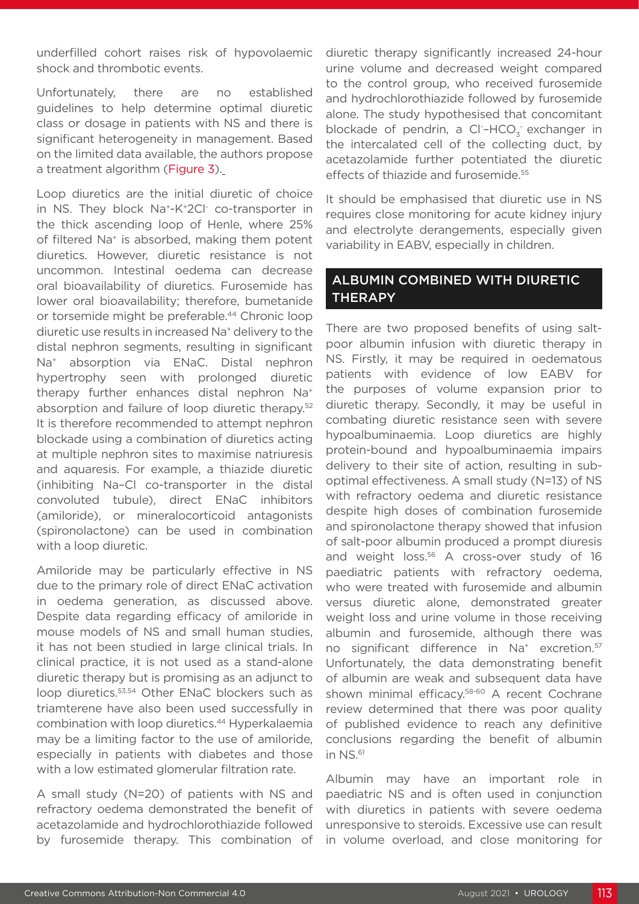underfilled cohort raises risk of hypovolaemic shock and thrombotic events.

Unfortunately, there are no established guidelines to help determine optimal diuretic class or dosage in patients with NS and there is significant heterogeneity in management. Based on the limited data available, the authors propose a treatment algorithm (Figure 3).

Loop diuretics are the initial diuretic of choice in NS. They block Na+-K+2Cl- co-transporter in the thick ascending loop of Henle, where 25% of filtered Na<sup>+</sup> is absorbed, making them potent diuretics. However, diuretic resistance is not uncommon. Intestinal oedema can decrease oral bioavailability of diuretics. Furosemide has lower oral bioavailability; therefore, bumetanide or torsemide might be preferable.<sup>44</sup> Chronic loop diuretic use results in increased Na+ delivery to the distal nephron segments, resulting in significant Na+ absorption via ENaC. Distal nephron hypertrophy seen with prolonged diuretic therapy further enhances distal nephron Na<sup>+</sup> absorption and failure of loop diuretic therapy.<sup>52</sup> It is therefore recommended to attempt nephron blockade using a combination of diuretics acting at multiple nephron sites to maximise natriuresis and aquaresis. For example, a thiazide diuretic (inhibiting Na–Cl co-transporter in the distal convoluted tubule), direct ENaC inhibitors (amiloride), or mineralocorticoid antagonists (spironolactone) can be used in combination with a loop diuretic.

Amiloride may be particularly effective in NS due to the primary role of direct ENaC activation in oedema generation, as discussed above. Despite data regarding efficacy of amiloride in mouse models of NS and small human studies, it has not been studied in large clinical trials. In clinical practice, it is not used as a stand-alone diuretic therapy but is promising as an adjunct to loop diuretics.53,54 Other ENaC blockers such as triamterene have also been used successfully in combination with loop diuretics.44 Hyperkalaemia may be a limiting factor to the use of amiloride, especially in patients with diabetes and those with a low estimated glomerular filtration rate.

A small study (N=20) of patients with NS and refractory oedema demonstrated the benefit of acetazolamide and hydrochlorothiazide followed by furosemide therapy. This combination of diuretic therapy significantly increased 24-hour urine volume and decreased weight compared to the control group, who received furosemide and hydrochlorothiazide followed by furosemide alone. The study hypothesised that concomitant blockade of pendrin, a Cl<sup>-</sup>-HCO<sub>3</sub> exchanger in the intercalated cell of the collecting duct, by acetazolamide further potentiated the diuretic effects of thiazide and furosemide.<sup>55</sup>

It should be emphasised that diuretic use in NS requires close monitoring for acute kidney injury and electrolyte derangements, especially given variability in EABV, especially in children.

## ALBUMIN COMBINED WITH DIURETIC **THERAPY**

There are two proposed benefits of using saltpoor albumin infusion with diuretic therapy in NS. Firstly, it may be required in oedematous patients with evidence of low EABV for the purposes of volume expansion prior to diuretic therapy. Secondly, it may be useful in combating diuretic resistance seen with severe hypoalbuminaemia. Loop diuretics are highly protein-bound and hypoalbuminaemia impairs delivery to their site of action, resulting in suboptimal effectiveness. A small study (N=13) of NS with refractory oedema and diuretic resistance despite high doses of combination furosemide and spironolactone therapy showed that infusion of salt-poor albumin produced a prompt diuresis and weight loss.<sup>56</sup> A cross-over study of 16 paediatric patients with refractory oedema, who were treated with furosemide and albumin versus diuretic alone, demonstrated greater weight loss and urine volume in those receiving albumin and furosemide, although there was no significant difference in Na<sup>+</sup> excretion.<sup>57</sup> Unfortunately, the data demonstrating benefit of albumin are weak and subsequent data have shown minimal efficacy.<sup>58-60</sup> A recent Cochrane review determined that there was poor quality of published evidence to reach any definitive conclusions regarding the benefit of albumin in NS.61

Albumin may have an important role in paediatric NS and is often used in conjunction with diuretics in patients with severe oedema unresponsive to steroids. Excessive use can result in volume overload, and close monitoring for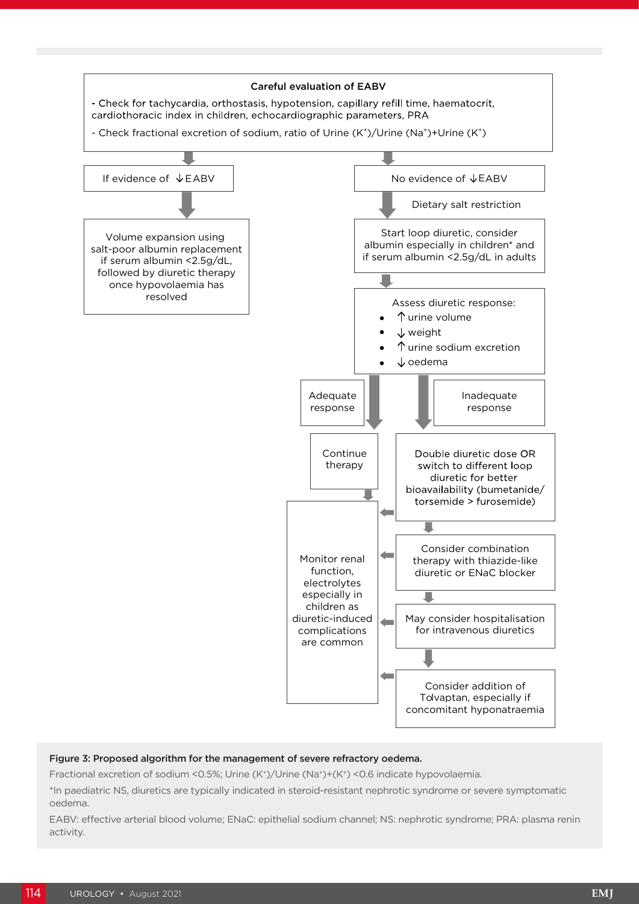

#### Figure 3: Proposed algorithm for the management of severe refractory oedema.

Fractional excretion of sodium <0.5%; Urine (K+)/Urine (Na+)+(K+) <0.6 indicate hypovolaemia.

\*In paediatric NS, diuretics are typically indicated in steroid-resistant nephrotic syndrome or severe symptomatic oedema.

EABV: effective arterial blood volume; ENaC: epithelial sodium channel; NS: nephrotic syndrome; PRA: plasma renin activity.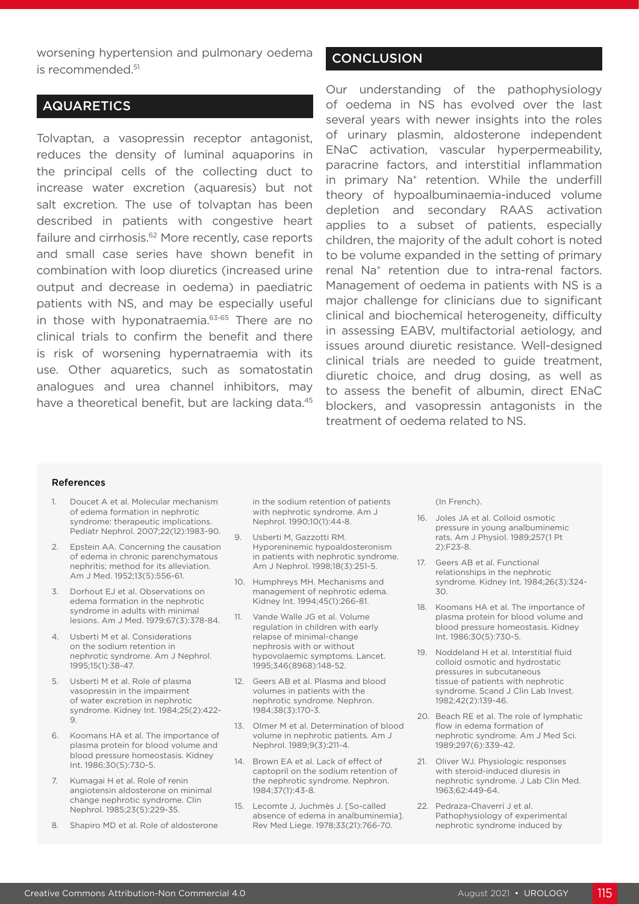worsening hypertension and pulmonary oedema is recommended.<sup>51</sup>

## AQUARETICS

Tolvaptan, a vasopressin receptor antagonist, reduces the density of luminal aquaporins in the principal cells of the collecting duct to increase water excretion (aquaresis) but not salt excretion. The use of tolvaptan has been described in patients with congestive heart failure and cirrhosis.<sup>62</sup> More recently, case reports and small case series have shown benefit in combination with loop diuretics (increased urine output and decrease in oedema) in paediatric patients with NS, and may be especially useful in those with hyponatraemia.<sup>63-65</sup> There are no clinical trials to confirm the benefit and there is risk of worsening hypernatraemia with its use. Other aquaretics, such as somatostatin analogues and urea channel inhibitors, may have a theoretical benefit, but are lacking data.<sup>45</sup>

## **CONCLUSION**

Our understanding of the pathophysiology of oedema in NS has evolved over the last several years with newer insights into the roles of urinary plasmin, aldosterone independent ENaC activation, vascular hyperpermeability, paracrine factors, and interstitial inflammation in primary Na<sup>+</sup> retention. While the underfill theory of hypoalbuminaemia-induced volume depletion and secondary RAAS activation applies to a subset of patients, especially children, the majority of the adult cohort is noted to be volume expanded in the setting of primary renal Na<sup>+</sup> retention due to intra-renal factors. Management of oedema in patients with NS is a major challenge for clinicians due to significant clinical and biochemical heterogeneity, difficulty in assessing EABV, multifactorial aetiology, and issues around diuretic resistance. Well-designed clinical trials are needed to guide treatment, diuretic choice, and drug dosing, as well as to assess the benefit of albumin, direct ENaC blockers, and vasopressin antagonists in the treatment of oedema related to NS.

#### References

- 1. Doucet A et al. Molecular mechanism of edema formation in nephrotic syndrome: therapeutic implications. Pediatr Nephrol. 2007;22(12):1983-90.
- 2. Epstein AA. Concerning the causation of edema in chronic parenchymatous nephritis; method for its alleviation. Am J Med. 1952;13(5):556-61.
- 3. Dorhout EJ et al. Observations on edema formation in the nephrotic syndrome in adults with minimal lesions. Am J Med. 1979;67(3):378-84.
- 4. Usberti M et al. Considerations on the sodium retention in nephrotic syndrome. Am J Nephrol. 1995;15(1):38-47.
- 5. Usberti M et al. Role of plasma vasopressin in the impairment of water excretion in nephrotic syndrome. Kidney Int. 1984;25(2):422- 9.
- 6. Koomans HA et al. The importance of plasma protein for blood volume and blood pressure homeostasis. Kidney Int. 1986;30(5):730-5.
- 7. Kumagai H et al. Role of renin angiotensin aldosterone on minimal change nephrotic syndrome. Clin Nephrol. 1985;23(5):229-35.
- Shapiro MD et al. Role of aldosterone

in the sodium retention of patients with nephrotic syndrome. Am J Nephrol. 1990;10(1):44-8.

- 9. Usberti M, Gazzotti RM. Hyporeninemic hypoaldosteronism in patients with nephrotic syndrome. Am J Nephrol. 1998;18(3):251-5.
- 10. Humphreys MH. Mechanisms and management of nephrotic edema. Kidney Int. 1994;45(1):266-81.
- 11. Vande Walle JG et al. Volume regulation in children with early relapse of minimal-change nephrosis with or without hypovolaemic symptoms. Lancet. 1995;346(8968):148-52.
- 12. Geers AB et al. Plasma and blood volumes in patients with the nephrotic syndrome. Nephron. 1984;38(3):170-3.
- 13. Olmer M et al. Determination of blood volume in nephrotic patients. Am J Nephrol. 1989;9(3):211-4.
- 14. Brown EA et al. Lack of effect of captopril on the sodium retention of the nephrotic syndrome. Nephron. 1984;37(1):43-8.
- 15. Lecomte J, Juchmès J. [So-called absence of edema in analbuminemia]. Rev Med Liege. 1978;33(21):766-70.

(In French).

- 16. Joles JA et al. Colloid osmotic pressure in young analbuminemic rats. Am J Physiol. 1989;257(1 Pt 2):F23-8.
- 17. Geers AB et al. Functional relationships in the nephrotic syndrome. Kidney Int. 1984;26(3):324- 30.
- 18. Koomans HA et al. The importance of plasma protein for blood volume and blood pressure homeostasis. Kidney Int. 1986;30(5):730-5.
- 19. Noddeland H et al. Interstitial fluid colloid osmotic and hydrostatic pressures in subcutaneous tissue of patients with nephrotic syndrome. Scand J Clin Lab Invest. 1982;42(2):139-46.
- 20. Beach RE et al. The role of lymphatic flow in edema formation of nephrotic syndrome. Am J Med Sci. 1989;297(6):339-42.
- 21. Oliver WJ. Physiologic responses with steroid-induced diuresis in nephrotic syndrome. J Lab Clin Med. 1963;62:449-64.
- 22. Pedraza-Chaverrí J et al. Pathophysiology of experimental nephrotic syndrome induced by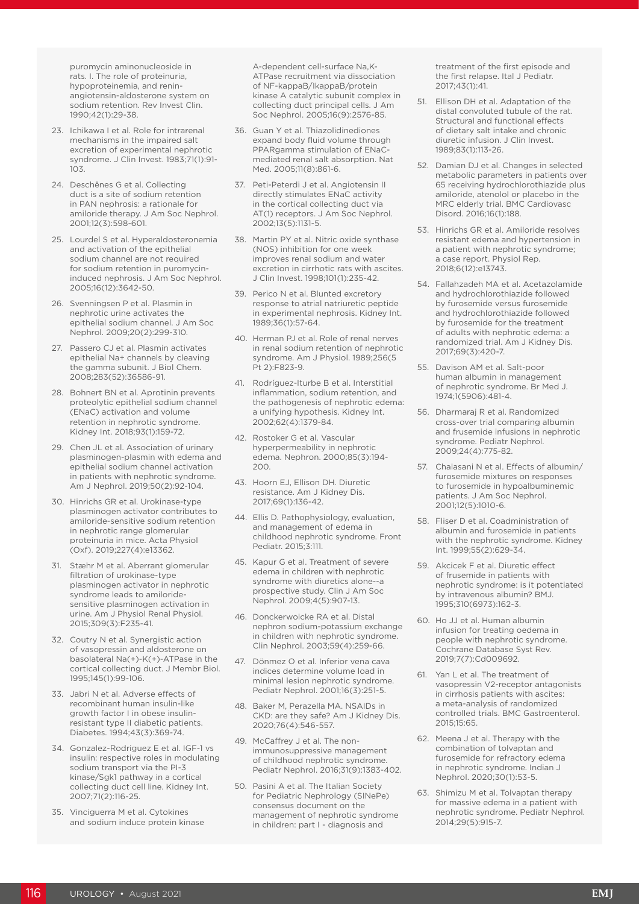puromycin aminonucleoside in rats. I. The role of proteinuria, hypoproteinemia, and reninangiotensin-aldosterone system on sodium retention. Rev Invest Clin. 1990;42(1):29-38.

- 23. Ichikawa I et al. Role for intrarenal mechanisms in the impaired salt excretion of experimental nephrotic syndrome. J Clin Invest. 1983;71(1):91- 103.
- 24. Deschênes G et al. Collecting duct is a site of sodium retention in PAN nephrosis: a rationale for amiloride therapy. J Am Soc Nephrol. 2001;12(3):598-601.
- 25. Lourdel S et al. Hyperaldosteronemia and activation of the epithelial sodium channel are not required for sodium retention in puromycininduced nephrosis. J Am Soc Nephrol. 2005;16(12):3642-50.
- 26. Svenningsen P et al. Plasmin in nephrotic urine activates the epithelial sodium channel. J Am Soc Nephrol. 2009;20(2):299-310.
- 27. Passero CJ et al. Plasmin activates epithelial Na+ channels by cleaving the gamma subunit. J Biol Chem. 2008;283(52):36586-91.
- 28. Bohnert BN et al. Aprotinin prevents proteolytic epithelial sodium channel (ENaC) activation and volume retention in nephrotic syndrome. Kidney Int. 2018;93(1):159-72.
- 29. Chen JL et al. Association of urinary plasminogen-plasmin with edema and epithelial sodium channel activation in patients with nephrotic syndrome. Am J Nephrol. 2019;50(2):92-104.
- 30. Hinrichs GR et al. Urokinase-type plasminogen activator contributes to amiloride-sensitive sodium retention in nephrotic range glomerular proteinuria in mice. Acta Physiol (Oxf). 2019;227(4):e13362.
- 31. Stæhr M et al. Aberrant glomerular filtration of urokinase-type plasminogen activator in nephrotic syndrome leads to amiloridesensitive plasminogen activation in urine. Am J Physiol Renal Physiol. 2015;309(3):F235-41.
- 32. Coutry N et al. Synergistic action of vasopressin and aldosterone on basolateral Na(+)-K(+)-ATPase in the cortical collecting duct. J Membr Biol. 1995;145(1):99-106.
- 33. Jabri N et al. Adverse effects of recombinant human insulin-like growth factor I in obese insulinresistant type II diabetic patients. Diabetes. 1994;43(3):369-74.
- 34. Gonzalez-Rodriguez E et al. IGF-1 vs insulin: respective roles in modulating sodium transport via the PI-3 kinase/Sgk1 pathway in a cortical collecting duct cell line. Kidney Int. 2007;71(2):116-25.
- 35. Vinciguerra M et al. Cytokines and sodium induce protein kinase

A-dependent cell-surface Na,K-ATPase recruitment via dissociation of NF-kappaB/IkappaB/protein kinase A catalytic subunit complex in collecting duct principal cells. J Am Soc Nephrol. 2005;16(9):2576-85.

- 36. Guan Y et al. Thiazolidinediones expand body fluid volume through PPARgamma stimulation of ENaCmediated renal salt absorption. Nat Med. 2005;11(8):861-6.
- 37. Peti-Peterdi J et al. Angiotensin II directly stimulates ENaC activity in the cortical collecting duct via AT(1) receptors. J Am Soc Nephrol. 2002;13(5):1131-5.
- 38. Martin PY et al. Nitric oxide synthase (NOS) inhibition for one week improves renal sodium and water excretion in cirrhotic rats with ascites. J Clin Invest. 1998;101(1):235-42.
- 39. Perico N et al. Blunted excretory response to atrial natriuretic peptide in experimental nephrosis. Kidney Int. 1989;36(1):57-64.
- 40. Herman PJ et al. Role of renal nerves in renal sodium retention of nephrotic syndrome. Am J Physiol. 1989;256(5 Pt 2):F823-9.
- 41. Rodríguez-Iturbe B et al. Interstitial inflammation, sodium retention, and the pathogenesis of nephrotic edema: a unifying hypothesis. Kidney Int. 2002;62(4):1379-84.
- 42. Rostoker G et al. Vascular hyperpermeability in nephrotic edema. Nephron. 2000;85(3):194- 200.
- 43. Hoorn EJ, Ellison DH. Diuretic resistance. Am J Kidney Dis. 2017;69(1):136-42.
- 44. Ellis D. Pathophysiology, evaluation, and management of edema in childhood nephrotic syndrome. Front Pediatr. 2015;3:111.
- 45. Kapur G et al. Treatment of severe edema in children with nephrotic syndrome with diuretics alone--a prospective study. Clin J Am Soc Nephrol. 2009;4(5):907-13.
- 46. Donckerwolcke RA et al. Distal nephron sodium-potassium exchange in children with nephrotic syndrome. Clin Nephrol. 2003;59(4):259-66.
- 47. Dönmez O et al. Inferior vena cava indices determine volume load in minimal lesion nephrotic syndrome. Pediatr Nephrol. 2001;16(3):251-5.
- 48. Baker M, Perazella MA. NSAIDs in CKD: are they safe? Am J Kidney Dis. 2020;76(4):546-557.
- 49. McCaffrey J et al. The nonimmunosuppressive management of childhood nephrotic syndrome. Pediatr Nephrol. 2016;31(9):1383-402.
- 50. Pasini A et al. The Italian Society for Pediatric Nephrology (SINePe) consensus document on the management of nephrotic syndrome in children: part I - diagnosis and

treatment of the first episode and the first relapse. Ital J Pediatr. 2017;43(1):41.

- 51. Ellison DH et al. Adaptation of the distal convoluted tubule of the rat. Structural and functional effects of dietary salt intake and chronic diuretic infusion. J Clin Invest. 1989;83(1):113-26.
- 52. Damian DJ et al. Changes in selected metabolic parameters in patients over 65 receiving hydrochlorothiazide plus amiloride, atenolol or placebo in the MRC elderly trial. BMC Cardiovasc Disord. 2016;16(1):188.
- 53. Hinrichs GR et al. Amiloride resolves resistant edema and hypertension in a patient with nephrotic syndrome; a case report. Physiol Rep. 2018;6(12):e13743.
- 54. Fallahzadeh MA et al. Acetazolamide and hydrochlorothiazide followed by furosemide versus furosemide and hydrochlorothiazide followed by furosemide for the treatment of adults with nephrotic edema: a randomized trial. Am J Kidney Dis. 2017;69(3):420-7.
- 55. Davison AM et al. Salt-poor human albumin in management of nephrotic syndrome. Br Med J. 1974;1(5906):481-4.
- 56. Dharmaraj R et al. Randomized cross-over trial comparing albumin and frusemide infusions in nephrotic syndrome. Pediatr Nephrol. 2009;24(4):775-82.
- 57. Chalasani N et al. Effects of albumin/ furosemide mixtures on responses to furosemide in hypoalbuminemic patients. J Am Soc Nephrol. 2001;12(5):1010-6.
- 58. Fliser D et al. Coadministration of albumin and furosemide in patients with the nephrotic syndrome. Kidney Int. 1999;55(2):629-34.
- 59. Akcicek F et al. Diuretic effect of frusemide in patients with nephrotic syndrome: is it potentiated by intravenous albumin? BMJ. 1995;310(6973):162-3.
- 60. Ho JJ et al. Human albumin infusion for treating oedema in people with nephrotic syndrome. Cochrane Database Syst Rev. 2019;7(7):Cd009692.
- 61. Yan L et al. The treatment of vasopressin V2-receptor antagonists in cirrhosis patients with ascites: a meta-analysis of randomized controlled trials. BMC Gastroenterol. 2015;15:65.
- 62. Meena J et al. Therapy with the combination of tolvaptan and furosemide for refractory edema in nephrotic syndrome. Indian J Nephrol. 2020;30(1):53-5.
- 63. Shimizu M et al. Tolvaptan therapy for massive edema in a patient with nephrotic syndrome. Pediatr Nephrol. 2014;29(5):915-7.